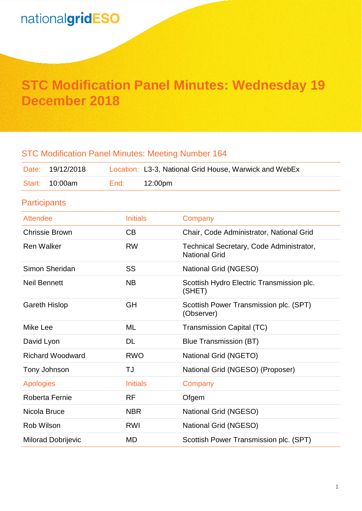# **STC Modification Panel Minutes: Wednesday 19 December 2018**

# STC Modification Panel Minutes: Meeting Number 164 Date: 19/12/2018 Location: L3-3, National Grid House, Warwick and WebEx Start: 10:00am End: 12:00pm **Participants** Attendee **Initials** Company Chrissie Brown CB Chair, Code Administrator, National Grid Ren Walker **RW** Technical Secretary, Code Administrator, National Grid Simon Sheridan SS National Grid (NGESO) Neil Bennett NB NB Scottish Hydro Electric Transmission plc. (SHET) Gareth Hislop GH GH Scottish Power Transmission plc. (SPT) (Observer) Mike Lee ML Transmission Capital (TC) David Lyon DL Blue Transmission (BT) Richard Woodward **RWO** National Grid (NGETO) Tony Johnson TJ National Grid (NGESO) (Proposer) Apologies **Initials** Company Roberta Fernie RF RF Ofgem Nicola Bruce NBR National Grid (NGESO) Rob Wilson **RWI** RWI National Grid (NGESO) Milorad Dobrijevic **MD** Scottish Power Transmission plc. (SPT)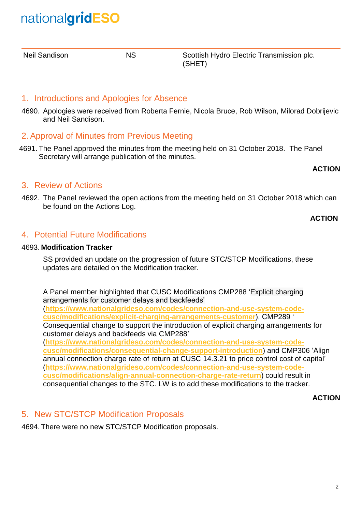| Neil Sandison | ΝS | Scottish Hydro Electric Transmission plc. |
|---------------|----|-------------------------------------------|
|               |    | (SHET)                                    |

### 1. Introductions and Apologies for Absence

4690. Apologies were received from Roberta Fernie, Nicola Bruce, Rob Wilson, Milorad Dobrijevic and Neil Sandison.

### 2. Approval of Minutes from Previous Meeting

4691. The Panel approved the minutes from the meeting held on 31 October 2018. The Panel Secretary will arrange publication of the minutes.

#### **ACTION**

### 3. Review of Actions

4692. The Panel reviewed the open actions from the meeting held on 31 October 2018 which can be found on the Actions Log.

#### **ACTION**

### 4. Potential Future Modifications

#### 4693. **Modification Tracker**

SS provided an update on the progression of future STC/STCP Modifications, these updates are detailed on the Modification tracker.

A Panel member highlighted that CUSC Modifications CMP288 'Explicit charging arrangements for customer delays and backfeeds' (**[https://www.nationalgrideso.com/codes/connection-and-use-system-code](https://www.nationalgrideso.com/codes/connection-and-use-system-code-cusc/modifications/explicit-charging-arrangements-customer)[cusc/modifications/explicit-charging-arrangements-customer](https://www.nationalgrideso.com/codes/connection-and-use-system-code-cusc/modifications/explicit-charging-arrangements-customer)**), CMP289 ' Consequential change to support the introduction of explicit charging arrangements for customer delays and backfeeds via CMP288' (**[https://www.nationalgrideso.com/codes/connection-and-use-system-code](https://www.nationalgrideso.com/codes/connection-and-use-system-code-cusc/modifications/consequential-change-support-introduction)[cusc/modifications/consequential-change-support-introduction](https://www.nationalgrideso.com/codes/connection-and-use-system-code-cusc/modifications/consequential-change-support-introduction)**) and CMP306 'Align annual connection charge rate of return at CUSC 14.3.21 to price control cost of capital' (**[https://www.nationalgrideso.com/codes/connection-and-use-system-code](https://www.nationalgrideso.com/codes/connection-and-use-system-code-cusc/modifications/align-annual-connection-charge-rate-return)[cusc/modifications/align-annual-connection-charge-rate-return](https://www.nationalgrideso.com/codes/connection-and-use-system-code-cusc/modifications/align-annual-connection-charge-rate-return)**) could result in consequential changes to the STC. LW is to add these modifications to the tracker.

#### **ACTION**

### 5. New STC/STCP Modification Proposals

4694. There were no new STC/STCP Modification proposals.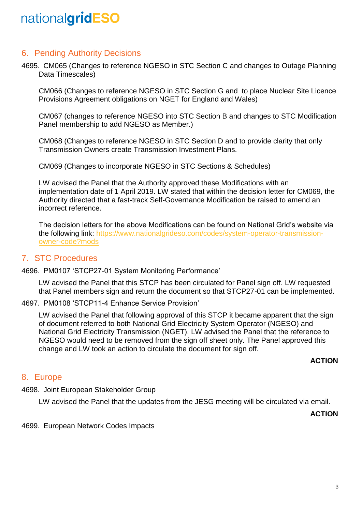## 6. Pending Authority Decisions

4695. CM065 (Changes to reference NGESO in STC Section C and changes to Outage Planning Data Timescales)

CM066 (Changes to reference NGESO in STC Section G and to place Nuclear Site Licence Provisions Agreement obligations on NGET for England and Wales)

CM067 (changes to reference NGESO into STC Section B and changes to STC Modification Panel membership to add NGESO as Member.)

CM068 (Changes to reference NGESO in STC Section D and to provide clarity that only Transmission Owners create Transmission Investment Plans.

CM069 (Changes to incorporate NGESO in STC Sections & Schedules)

LW advised the Panel that the Authority approved these Modifications with an implementation date of 1 April 2019. LW stated that within the decision letter for CM069, the Authority directed that a fast-track Self-Governance Modification be raised to amend an incorrect reference.

The decision letters for the above Modifications can be found on National Grid's website via the following link: [https://www.nationalgrideso.com/codes/system-operator-transmission](https://www.nationalgrideso.com/codes/system-operator-transmission-owner-code?mods)[owner-code?mods](https://www.nationalgrideso.com/codes/system-operator-transmission-owner-code?mods)

### 7. STC Procedures

4696. PM0107 'STCP27-01 System Monitoring Performance'

LW advised the Panel that this STCP has been circulated for Panel sign off. LW requested that Panel members sign and return the document so that STCP27-01 can be implemented.

4697. PM0108 'STCP11-4 Enhance Service Provision'

LW advised the Panel that following approval of this STCP it became apparent that the sign of document referred to both National Grid Electricity System Operator (NGESO) and National Grid Electricity Transmission (NGET). LW advised the Panel that the reference to NGESO would need to be removed from the sign off sheet only. The Panel approved this change and LW took an action to circulate the document for sign off.

### **ACTION**

### 8. Europe

4698. Joint European Stakeholder Group

LW advised the Panel that the updates from the JESG meeting will be circulated via email.

**ACTION**

4699. European Network Codes Impacts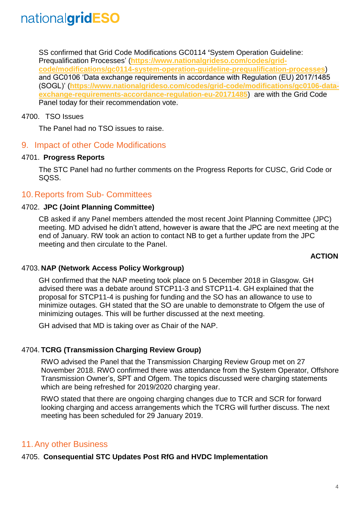SS confirmed that Grid Code Modifications GC0114 **'**System Operation Guideline: Prequalification Processes' (**[https://www.nationalgrideso.com/codes/grid](https://www.nationalgrideso.com/codes/grid-code/modifications/gc0114-system-operation-guideline-prequalification-processes)[code/modifications/gc0114-system-operation-guideline-prequalification-processes](https://www.nationalgrideso.com/codes/grid-code/modifications/gc0114-system-operation-guideline-prequalification-processes)**) and GC0106 'Data exchange requirements in accordance with Regulation (EU) 2017/1485 (SOGL)' (**[https://www.nationalgrideso.com/codes/grid-code/modifications/gc0106-data](https://www.nationalgrideso.com/codes/grid-code/modifications/gc0106-data-exchange-requirements-accordance-regulation-eu-20171485)[exchange-requirements-accordance-regulation-eu-20171485](https://www.nationalgrideso.com/codes/grid-code/modifications/gc0106-data-exchange-requirements-accordance-regulation-eu-20171485)**) are with the Grid Code Panel today for their recommendation vote.

### 4700. TSO Issues

The Panel had no TSO issues to raise.

### 9. Impact of other Code Modifications

### 4701. **Progress Reports**

The STC Panel had no further comments on the Progress Reports for CUSC, Grid Code or SQSS.

### 10.Reports from Sub- Committees

### 4702. **JPC (Joint Planning Committee)**

CB asked if any Panel members attended the most recent Joint Planning Committee (JPC) meeting. MD advised he didn't attend, however is aware that the JPC are next meeting at the end of January. RW took an action to contact NB to get a further update from the JPC meeting and then circulate to the Panel.

### **ACTION**

### 4703. **NAP (Network Access Policy Workgroup)**

GH confirmed that the NAP meeting took place on 5 December 2018 in Glasgow. GH advised there was a debate around STCP11-3 and STCP11-4. GH explained that the proposal for STCP11-4 is pushing for funding and the SO has an allowance to use to minimize outages. GH stated that the SO are unable to demonstrate to Ofgem the use of minimizing outages. This will be further discussed at the next meeting.

GH advised that MD is taking over as Chair of the NAP.

### 4704. **TCRG (Transmission Charging Review Group)**

RWO advised the Panel that the Transmission Charging Review Group met on 27 November 2018. RWO confirmed there was attendance from the System Operator, Offshore Transmission Owner's, SPT and Ofgem. The topics discussed were charging statements which are being refreshed for 2019/2020 charging year.

RWO stated that there are ongoing charging changes due to TCR and SCR for forward looking charging and access arrangements which the TCRG will further discuss. The next meeting has been scheduled for 29 January 2019.

### 11.Any other Business

### 4705. **Consequential STC Updates Post RfG and HVDC Implementation**